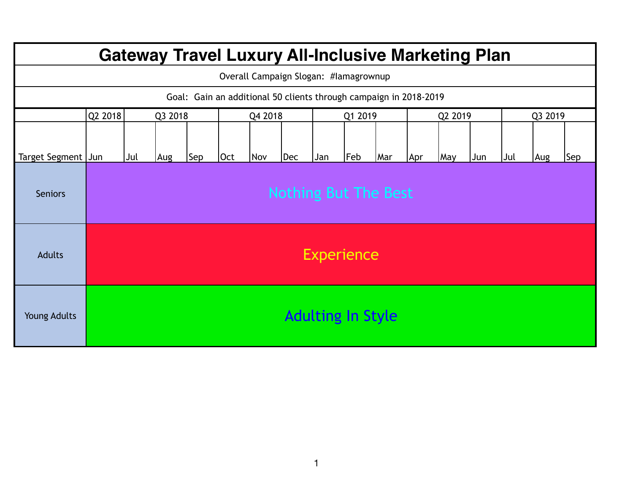| <b>Gateway Travel Luxury All-Inclusive Marketing Plan</b> |                                                                   |                             |  |         |  |     |     |         |                          |     |         |     |     |         |     |     |
|-----------------------------------------------------------|-------------------------------------------------------------------|-----------------------------|--|---------|--|-----|-----|---------|--------------------------|-----|---------|-----|-----|---------|-----|-----|
| Overall Campaign Slogan: #lamagrownup                     |                                                                   |                             |  |         |  |     |     |         |                          |     |         |     |     |         |     |     |
|                                                           | Goal: Gain an additional 50 clients through campaign in 2018-2019 |                             |  |         |  |     |     |         |                          |     |         |     |     |         |     |     |
|                                                           | Q2 2018<br>Q3 2018                                                |                             |  | Q4 2018 |  |     |     | Q1 2019 |                          |     | Q2 2019 |     |     | Q3 2019 |     |     |
| Target Segment Jun                                        |                                                                   | Sep<br>Jul<br>Aug           |  |         |  | Nov | Dec | Jan     | Feb                      | Mar | Apr     | May | Jun | Jul     | Aug | Sep |
| <b>Seniors</b>                                            |                                                                   | <b>Nothing But The Best</b> |  |         |  |     |     |         |                          |     |         |     |     |         |     |     |
| <b>Adults</b>                                             | <b>Experience</b>                                                 |                             |  |         |  |     |     |         |                          |     |         |     |     |         |     |     |
| <b>Young Adults</b>                                       |                                                                   |                             |  |         |  |     |     |         | <b>Adulting In Style</b> |     |         |     |     |         |     |     |